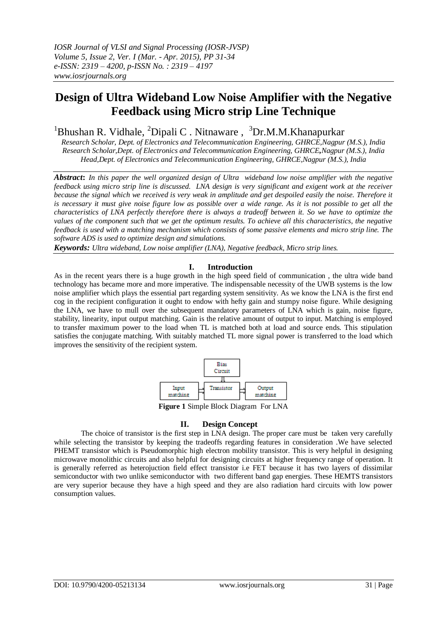# **Design of Ultra Wideband Low Noise Amplifier with the Negative Feedback using Micro strip Line Technique**

<sup>1</sup>Bhushan R. Vidhale, <sup>2</sup>Dipali C. Nitnaware, <sup>3</sup>Dr.M.M.Khanapurkar

*Research Scholar, Dept. of Electronics and Telecommunication Engineering, GHRCE,Nagpur (M.S.), India Research Scholar,Dept. of Electronics and Telecommunication Engineering, GHRCE,Nagpur (M.S.), India Head,Dept. of Electronics and Telecommunication Engineering, GHRCE,Nagpur (M.S.), India*

*Abstract***:** *In this paper the well organized design of Ultra wideband low noise amplifier with the negative feedback using micro strip line is discussed. LNA design is very significant and exigent work at the receiver because the signal which we received is very weak in amplitude and get despoiled easily the noise. Therefore it is necessary it must give noise figure low as possible over a wide range. As it is not possible to get all the characteristics of LNA perfectly therefore there is always a tradeoff between it. So we have to optimize the values of the component such that we get the optimum results. To achieve all this characteristics, the negative feedback is used with a matching mechanism which consists of some passive elements and micro strip line. The software ADS is used to optimize design and simulations.*

*Keywords: Ultra wideband, Low noise amplifier (LNA), Negative feedback, Micro strip lines.*

## **I. Introduction**

As in the recent years there is a huge growth in the high speed field of communication , the ultra wide band technology has became more and more imperative. The indispensable necessity of the UWB systems is the low noise amplifier which plays the essential part regarding system sensitivity. As we know the LNA is the first end cog in the recipient configuration it ought to endow with hefty gain and stumpy noise figure. While designing the LNA, we have to mull over the subsequent mandatory parameters of LNA which is gain, noise figure, stability, linearity, input output matching. Gain is the relative amount of output to input. Matching is employed to transfer maximum power to the load when TL is matched both at load and source ends. This stipulation satisfies the conjugate matching. With suitably matched TL more signal power is transferred to the load which improves the sensitivity of the recipient system.



**Figure 1** Simple Block Diagram For LNA

## **II. Design Concept**

The choice of transistor is the first step in LNA design. The proper care must be taken very carefully while selecting the transistor by keeping the tradeoffs regarding features in consideration .We have selected PHEMT transistor which is Pseudomorphic high electron mobility transistor. This is very helpful in designing microwave monolithic circuits and also helpful for designing circuits at higher frequency range of operation. It is generally referred as heterojuction field effect transistor i.e FET because it has two layers of dissimilar semiconductor with two unlike semiconductor with two different band gap energies. These HEMTS transistors are very superior because they have a high speed and they are also radiation hard circuits with low power consumption values.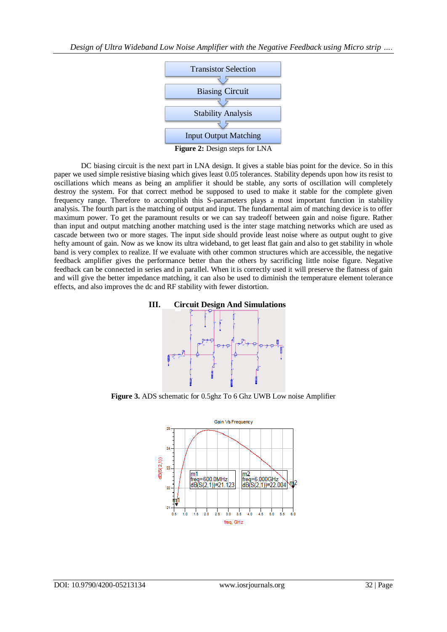*Design of Ultra Wideband Low Noise Amplifier with the Negative Feedback using Micro strip ….*



DC biasing circuit is the next part in LNA design. It gives a stable bias point for the device. So in this paper we used simple resistive biasing which gives least 0.05 tolerances. Stability depends upon how its resist to oscillations which means as being an amplifier it should be stable, any sorts of oscillation will completely destroy the system. For that correct method be supposed to used to make it stable for the complete given frequency range. Therefore to accomplish this S-parameters plays a most important function in stability analysis. The fourth part is the matching of output and input. The fundamental aim of matching device is to offer maximum power. To get the paramount results or we can say tradeoff between gain and noise figure. Rather than input and output matching another matching used is the inter stage matching networks which are used as cascade between two or more stages. The input side should provide least noise where as output ought to give hefty amount of gain. Now as we know its ultra wideband, to get least flat gain and also to get stability in whole band is very complex to realize. If we evaluate with other common structures which are accessible, the negative feedback amplifier gives the performance better than the others by sacrificing little noise figure. Negative feedback can be connected in series and in parallel. When it is correctly used it will preserve the flatness of gain and will give the better impedance matching, it can also be used to diminish the temperature element tolerance effects, and also improves the dc and RF stability with fewer distortion.





**Figure 3.** ADS schematic for 0.5ghz To 6 Ghz UWB Low noise Amplifier

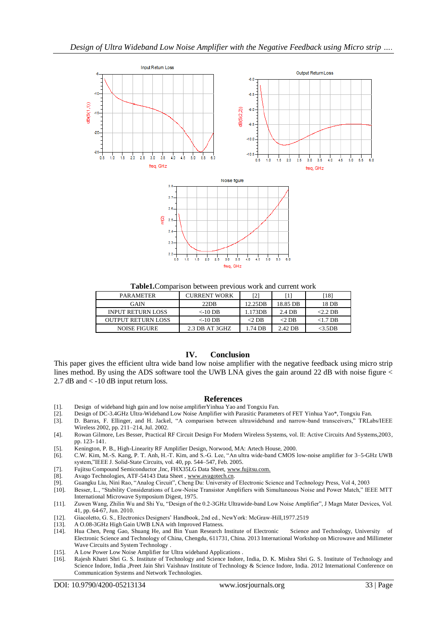

**Table1.**Comparison between previous work and current work

| <b>PARAMETER</b>          | CURRENT WORK   | [2]     | 1        | $18$ ]     |
|---------------------------|----------------|---------|----------|------------|
| <b>GAIN</b>               | $22\text{DR}$  | 12.25DB | 18.85 DB | 18 DB      |
| <b>INPUT RETURN LOSS</b>  | $\leq$ -10 DB  | 1.173DB | 2.4 DB   | $<$ 2.2 DB |
| <b>OUTPUT RETURN LOSS</b> | $<$ -10 DB     | <2 DB   | $<$ 2 DB | $<$ 1.7 DB |
| NOISE FIGURE              | 2.3 DB AT 3GHZ | .74 DB  | 2.42 DB  | <3.5DB     |

## **IV. Conclusion**

This paper gives the efficient ultra wide band low noise amplifier with the negative feedback using micro strip lines method. By using the ADS software tool the UWB LNA gives the gain around 22 dB with noise figure < 2.7 dB and < -10 dB input return loss.

### **References**

- [1]. Design of wideband high gain and low noise amplifierYinhua Yao and Tongxiu Fan.
- [2]. Design of DC-3.4GHz Ultra-Wideband Low Noise Amplifier with Parasitic Parameters of FET Yinhua Yao\*, Tongxiu Fan.
- [3]. D. Barras, F. Ellinger, and H. Jackel, "A comparison between ultrawideband and narrow-band transceivers," TRLabs/IEEE Wireless 2002, pp. 211–214, Jul. 2002.
- [4]. Rowan Gilmore, Les Besser, Practical RF Circuit Design For Modern Wireless Systems, vol. II: Active Circuits And Systems,2003, pp. 123- 141.
- [5]. Kenington, P. B., High-Linearity RF Amplifier Design, Norwood, MA: Artech House, 2000.
- [6]. C.W. Kim, M.-S. Kang, P. T. Anh, H.-T. Kim, and S.-G. Lee, "An ultra wide-band CMOS low-noise amplifier for 3–5-GHz UWB system,"IEEE J. Solid-State Circuits, vol. 40, pp. 544–547, Feb. 2005.
- [7]. Fujitsu Compound Semiconductor ,Inc, FHX35LG Data Sheet, [www.fujitsu.com.](http://www.fujitsu.com/)
- [8]. Avago Technologies, ATF-54143 Data Sheet , [www.avagotech.cn.](http://www.avagotech.cn/)
- [9]. Guangku Liu, Nini Rao, "Analog Circuit", Cheng Du: University of Electronic Science and Technology Press, Vol 4, 2003
- [10]. Besser, L., "Stability Considerations of Low-Noise Transistor Amplifiers with Simultaneous Noise and Power Match," IEEE MTT International Microwave Symposium Digest, 1975.
- [11]. Zuwen Wang, Zhilin Wu and Shi Yu, "Design of the 0.2-3GHz Ultrawide-band Low Noise Amplifier", J Magn Mater Devices, Vol. 41, pp. 64-67, Jun. 2010.
- [12]. Giacoletto, G. S., Electronics Designers' Handbook, 2nd ed., NewYork: McGraw-Hill,1977.2519
- [13]. A O.08-3GHz High Gain UWB LNA with Improved Flatness.
- [14]. Hua Chen, Peng Gao, Shuang He, and Bin Yuan Research Institute of Electronic Science and Technology, University of Electronic Science and Technology of China, Chengdu, 611731, China. 2013 International Workshop on Microwave and Millimeter Wave Circuits and System Technology .
- [15]. A Low Power Low Noise Amplifier for Ultra wideband Applications .
- [16]. Rajesh Khatri Shri G. S. Institute of Technology and Science Indore, India, D. K. Mishra Shri G. S. Institute of Technology and Science Indore, India ,Preet Jain Shri Vaishnav Institute of Technology & Science Indore, India. 2012 International Conference on Communication Systems and Network Technologies.